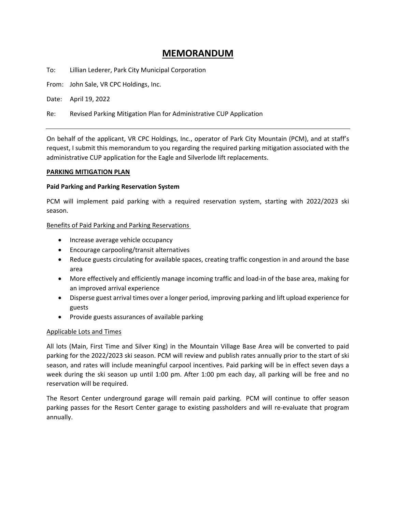# **MEMORANDUM**

To: Lillian Lederer, Park City Municipal Corporation

From: John Sale, VR CPC Holdings, Inc.

Date: April 19, 2022

Re: Revised Parking Mitigation Plan for Administrative CUP Application

On behalf of the applicant, VR CPC Holdings, Inc., operator of Park City Mountain (PCM), and at staff's request, I submit this memorandum to you regarding the required parking mitigation associated with the administrative CUP application for the Eagle and Silverlode lift replacements.

#### **PARKING MITIGATION PLAN**

#### **Paid Parking and Parking Reservation System**

PCM will implement paid parking with a required reservation system, starting with 2022/2023 ski season.

#### Benefits of Paid Parking and Parking Reservations

- Increase average vehicle occupancy
- Encourage carpooling/transit alternatives
- Reduce guests circulating for available spaces, creating traffic congestion in and around the base area
- More effectively and efficiently manage incoming traffic and load-in of the base area, making for an improved arrival experience
- Disperse guest arrival times over a longer period, improving parking and lift upload experience for guests
- Provide guests assurances of available parking

#### Applicable Lots and Times

All lots (Main, First Time and Silver King) in the Mountain Village Base Area will be converted to paid parking for the 2022/2023 ski season. PCM will review and publish rates annually prior to the start of ski season, and rates will include meaningful carpool incentives. Paid parking will be in effect seven days a week during the ski season up until 1:00 pm. After 1:00 pm each day, all parking will be free and no reservation will be required.

The Resort Center underground garage will remain paid parking. PCM will continue to offer season parking passes for the Resort Center garage to existing passholders and will re-evaluate that program annually.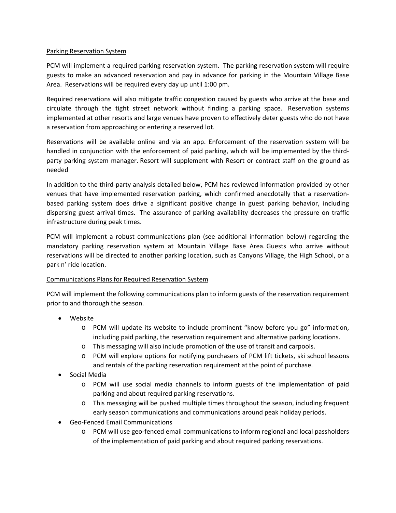#### Parking Reservation System

PCM will implement a required parking reservation system. The parking reservation system will require guests to make an advanced reservation and pay in advance for parking in the Mountain Village Base Area. Reservations will be required every day up until 1:00 pm.

Required reservations will also mitigate traffic congestion caused by guests who arrive at the base and circulate through the tight street network without finding a parking space. Reservation systems implemented at other resorts and large venues have proven to effectively deter guests who do not have a reservation from approaching or entering a reserved lot.

Reservations will be available online and via an app. Enforcement of the reservation system will be handled in conjunction with the enforcement of paid parking, which will be implemented by the thirdparty parking system manager. Resort will supplement with Resort or contract staff on the ground as needed

In addition to the third-party analysis detailed below, PCM has reviewed information provided by other venues that have implemented reservation parking, which confirmed anecdotally that a reservationbased parking system does drive a significant positive change in guest parking behavior, including dispersing guest arrival times. The assurance of parking availability decreases the pressure on traffic infrastructure during peak times.

PCM will implement a robust communications plan (see additional information below) regarding the mandatory parking reservation system at Mountain Village Base Area. Guests who arrive without reservations will be directed to another parking location, such as Canyons Village, the High School, or a park n' ride location.

## Communications Plans for Required Reservation System

PCM will implement the following communications plan to inform guests of the reservation requirement prior to and thorough the season.

- Website
	- o PCM will update its website to include prominent "know before you go" information, including paid parking, the reservation requirement and alternative parking locations.
	- o This messaging will also include promotion of the use of transit and carpools.
	- o PCM will explore options for notifying purchasers of PCM lift tickets, ski school lessons and rentals of the parking reservation requirement at the point of purchase.
- Social Media
	- o PCM will use social media channels to inform guests of the implementation of paid parking and about required parking reservations.
	- o This messaging will be pushed multiple times throughout the season, including frequent early season communications and communications around peak holiday periods.
- Geo-Fenced Email Communications
	- o PCM will use geo-fenced email communications to inform regional and local passholders of the implementation of paid parking and about required parking reservations.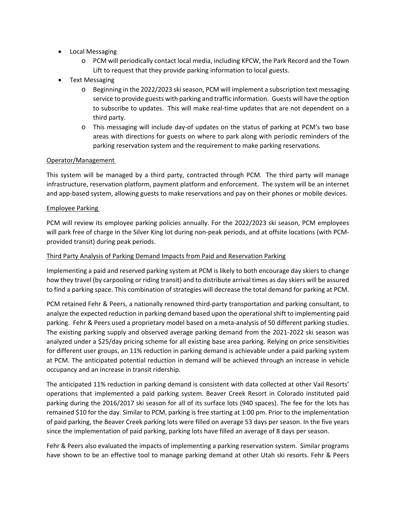- Local Messaging
	- o PCM will periodically contact local media, including KPCW, the Park Record and the Town Lift to request that they provide parking information to local guests.
- Text Messaging
	- o Beginning in the 2022/2023 ski season, PCM will implement a subscription text messaging service to provide guests with parking and traffic information. Guests will have the option to subscribe to updates. This will make real-time updates that are not dependent on a third party.
	- o This messaging will include day-of updates on the status of parking at PCM's two base areas with directions for guests on where to park along with periodic reminders of the parking reservation system and the requirement to make parking reservations.

### Operator/Management

This system will be managed by a third party, contracted through PCM. The third party will manage infrastructure, reservation platform, payment platform and enforcement. The system will be an internet and app-based system, allowing guests to make reservations and pay on their phones or mobile devices.

#### Employee Parking

PCM will review its employee parking policies annually. For the 2022/2023 ski season, PCM employees will park free of charge in the Silver King lot during non-peak periods, and at offsite locations (with PCMprovided transit) during peak periods.

#### Third Party Analysis of Parking Demand Impacts from Paid and Reservation Parking

Implementing a paid and reserved parking system at PCM is likely to both encourage day skiers to change how they travel (by carpooling or riding transit) and to distribute arrival times as day skiers will be assured to find a parking space. This combination of strategies will decrease the total demand for parking at PCM.

PCM retained Fehr & Peers, a nationally renowned third-party transportation and parking consultant, to analyze the expected reduction in parking demand based upon the operational shift to implementing paid parking. Fehr & Peers used a proprietary model based on a meta-analysis of 50 different parking studies. The existing parking supply and observed average parking demand from the 2021-2022 ski season was analyzed under a \$25/day pricing scheme for all existing base area parking. Relying on price sensitivities for different user groups, an 11% reduction in parking demand is achievable under a paid parking system at PCM. The anticipated potential reduction in demand will be achieved through an increase in vehicle occupancy and an increase in transit ridership.

The anticipated 11% reduction in parking demand is consistent with data collected at other Vail Resorts' operations that implemented a paid parking system. Beaver Creek Resort in Colorado instituted paid parking during the 2016/2017 ski season for all of its surface lots (940 spaces). The fee for the lots has remained \$10 for the day. Similar to PCM, parking is free starting at 1:00 pm. Prior to the implementation of paid parking, the Beaver Creek parking lots were filled on average 53 days per season. In the five years since the implementation of paid parking, parking lots have filled an average of 8 days per season.

Fehr & Peers also evaluated the impacts of implementing a parking reservation system. Similar programs have shown to be an effective tool to manage parking demand at other Utah ski resorts. Fehr & Peers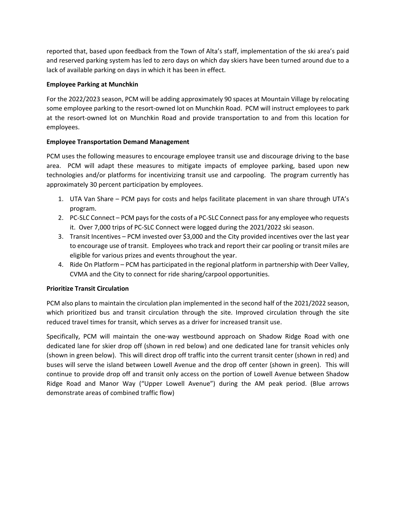reported that, based upon feedback from the Town of Alta's staff, implementation of the ski area's paid and reserved parking system has led to zero days on which day skiers have been turned around due to a lack of available parking on days in which it has been in effect.

### **Employee Parking at Munchkin**

For the 2022/2023 season, PCM will be adding approximately 90 spaces at Mountain Village by relocating some employee parking to the resort-owned lot on Munchkin Road. PCM will instruct employees to park at the resort-owned lot on Munchkin Road and provide transportation to and from this location for employees.

### **Employee Transportation Demand Management**

PCM uses the following measures to encourage employee transit use and discourage driving to the base area. PCM will adapt these measures to mitigate impacts of employee parking, based upon new technologies and/or platforms for incentivizing transit use and carpooling. The program currently has approximately 30 percent participation by employees.

- 1. UTA Van Share PCM pays for costs and helps facilitate placement in van share through UTA's program.
- 2. PC-SLC Connect PCM pays for the costs of a PC-SLC Connect pass for any employee who requests it. Over 7,000 trips of PC-SLC Connect were logged during the 2021/2022 ski season.
- 3. Transit Incentives PCM invested over \$3,000 and the City provided incentives over the last year to encourage use of transit. Employees who track and report their car pooling or transit miles are eligible for various prizes and events throughout the year.
- 4. Ride On Platform PCM has participated in the regional platform in partnership with Deer Valley, CVMA and the City to connect for ride sharing/carpool opportunities.

## **Prioritize Transit Circulation**

PCM also plans to maintain the circulation plan implemented in the second half of the 2021/2022 season, which prioritized bus and transit circulation through the site. Improved circulation through the site reduced travel times for transit, which serves as a driver for increased transit use.

Specifically, PCM will maintain the one-way westbound approach on Shadow Ridge Road with one dedicated lane for skier drop off (shown in red below) and one dedicated lane for transit vehicles only (shown in green below). This will direct drop off traffic into the current transit center (shown in red) and buses will serve the island between Lowell Avenue and the drop off center (shown in green). This will continue to provide drop off and transit only access on the portion of Lowell Avenue between Shadow Ridge Road and Manor Way ("Upper Lowell Avenue") during the AM peak period. (Blue arrows demonstrate areas of combined traffic flow)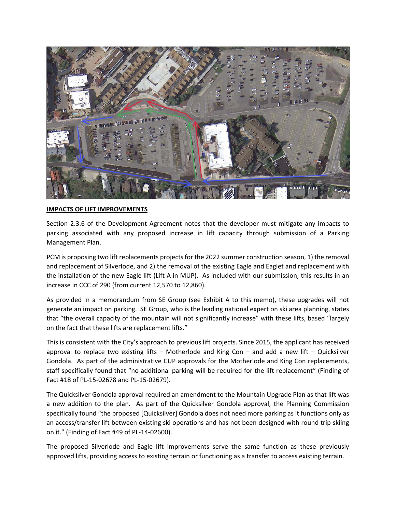

#### **IMPACTS OF LIFT IMPROVEMENTS**

Section 2.3.6 of the Development Agreement notes that the developer must mitigate any impacts to parking associated with any proposed increase in lift capacity through submission of a Parking Management Plan.

PCM is proposing two lift replacements projects for the 2022 summer construction season, 1) the removal and replacement of Silverlode, and 2) the removal of the existing Eagle and Eaglet and replacement with the installation of the new Eagle lift (Lift A in MUP). As included with our submission, this results in an increase in CCC of 290 (from current 12,570 to 12,860).

As provided in a memorandum from SE Group (see Exhibit A to this memo), these upgrades will not generate an impact on parking. SE Group, who is the leading national expert on ski area planning, states that "the overall capacity of the mountain will not significantly increase" with these lifts, based "largely on the fact that these lifts are replacement lifts."

This is consistent with the City's approach to previous lift projects. Since 2015, the applicant has received approval to replace two existing lifts – Motherlode and King Con – and add a new lift – Quicksilver Gondola. As part of the administrative CUP approvals for the Motherlode and King Con replacements, staff specifically found that "no additional parking will be required for the lift replacement" (Finding of Fact #18 of PL-15-02678 and PL-15-02679).

The Quicksilver Gondola approval required an amendment to the Mountain Upgrade Plan as that lift was a new addition to the plan. As part of the Quicksilver Gondola approval, the Planning Commission specifically found "the proposed [Quicksilver] Gondola does not need more parking as it functions only as an access/transfer lift between existing ski operations and has not been designed with round trip skiing on it." (Finding of Fact #49 of PL-14-02600).

The proposed Silverlode and Eagle lift improvements serve the same function as these previously approved lifts, providing access to existing terrain or functioning as a transfer to access existing terrain.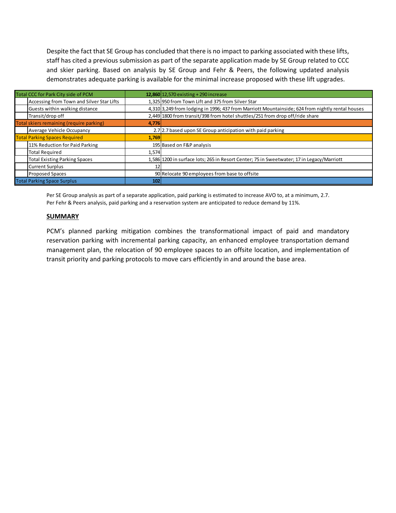Despite the fact that SE Group has concluded that there is no impact to parking associated with these lifts, staff has cited a previous submission as part of the separate application made by SE Group related to CCC and skier parking. Based on analysis by SE Group and Fehr & Peers, the following updated analysis demonstrates adequate parking is available for the minimal increase proposed with these lift upgrades.

| Total CCC for Park City side of PCM      |                                           |       | 12,860 12,570 existing + 290 increase                                                            |
|------------------------------------------|-------------------------------------------|-------|--------------------------------------------------------------------------------------------------|
|                                          | Accessing from Town and Silver Star Lifts |       | 1,325 950 from Town Lift and 375 from Silver Star                                                |
|                                          | Guests within walking distance            |       | 4,310 3,249 from lodging in 1996; 437 from Marriott Mountainside; 624 from nightly rental houses |
|                                          | Transit/drop off                          |       | 2,449 1800 from transit/398 from hotel shuttles/251 from drop off/ride share                     |
| Total skiers remaining (require parking) |                                           | 4,776 |                                                                                                  |
|                                          | Average Vehicle Occupancy                 |       | 2.7 2.7 based upon SE Group anticipation with paid parking                                       |
|                                          | <b>Total Parking Spaces Required</b>      | 1,769 |                                                                                                  |
|                                          | 11% Reduction for Paid Parking            |       | 195 Based on F&P analysis                                                                        |
|                                          | <b>Total Required</b>                     | 1,574 |                                                                                                  |
|                                          | <b>Total Existing Parking Spaces</b>      |       | 1,586 1200 in surface lots; 265 in Resort Center; 75 in Sweetwater; 17 in Legacy/Marriott        |
|                                          | <b>Current Surplus</b>                    | 12    |                                                                                                  |
|                                          | <b>Proposed Spaces</b>                    |       | 90 Relocate 90 employees from base to offsite                                                    |
| <b>Total Parking Space Surplus</b>       |                                           | 102   |                                                                                                  |

Per SE Group analysis as part of a separate application, paid parking is estimated to increase AVO to, at a minimum, 2.7. Per Fehr & Peers analysis, paid parking and a reservation system are anticipated to reduce demand by 11%.

#### **SUMMARY**

PCM's planned parking mitigation combines the transformational impact of paid and mandatory reservation parking with incremental parking capacity, an enhanced employee transportation demand management plan, the relocation of 90 employee spaces to an offsite location, and implementation of transit priority and parking protocols to move cars efficiently in and around the base area.